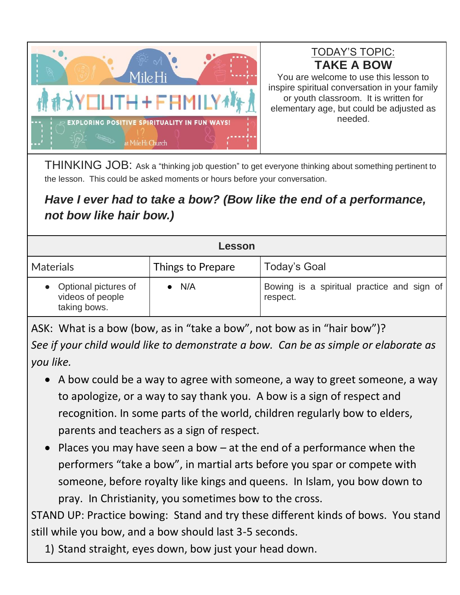

TODAY'S TOPIC: **TAKE A BOW**

You are welcome to use this lesson to inspire spiritual conversation in your family or youth classroom. It is written for elementary age, but could be adjusted as needed.

THINKING JOB: Ask a "thinking job question" to get everyone thinking about something pertinent to the lesson. This could be asked moments or hours before your conversation.

## *Have I ever had to take a bow? (Bow like the end of a performance, not bow like hair bow.)*

| Lesson                                                     |                   |                                                        |
|------------------------------------------------------------|-------------------|--------------------------------------------------------|
| <b>Materials</b>                                           | Things to Prepare | Today's Goal                                           |
| • Optional pictures of<br>videos of people<br>taking bows. | N/A               | Bowing is a spiritual practice and sign of<br>respect. |

ASK: What is a bow (bow, as in "take a bow", not bow as in "hair bow")?

*See if your child would like to demonstrate a bow. Can be as simple or elaborate as you like.*

- A bow could be a way to agree with someone, a way to greet someone, a way to apologize, or a way to say thank you. A bow is a sign of respect and recognition. In some parts of the world, children regularly bow to elders, parents and teachers as a sign of respect.
- Places you may have seen a bow at the end of a performance when the performers "take a bow", in martial arts before you spar or compete with someone, before royalty like kings and queens. In Islam, you bow down to pray. In Christianity, you sometimes bow to the cross.

STAND UP: Practice bowing: Stand and try these different kinds of bows. You stand still while you bow, and a bow should last 3-5 seconds.

1) Stand straight, eyes down, bow just your head down.